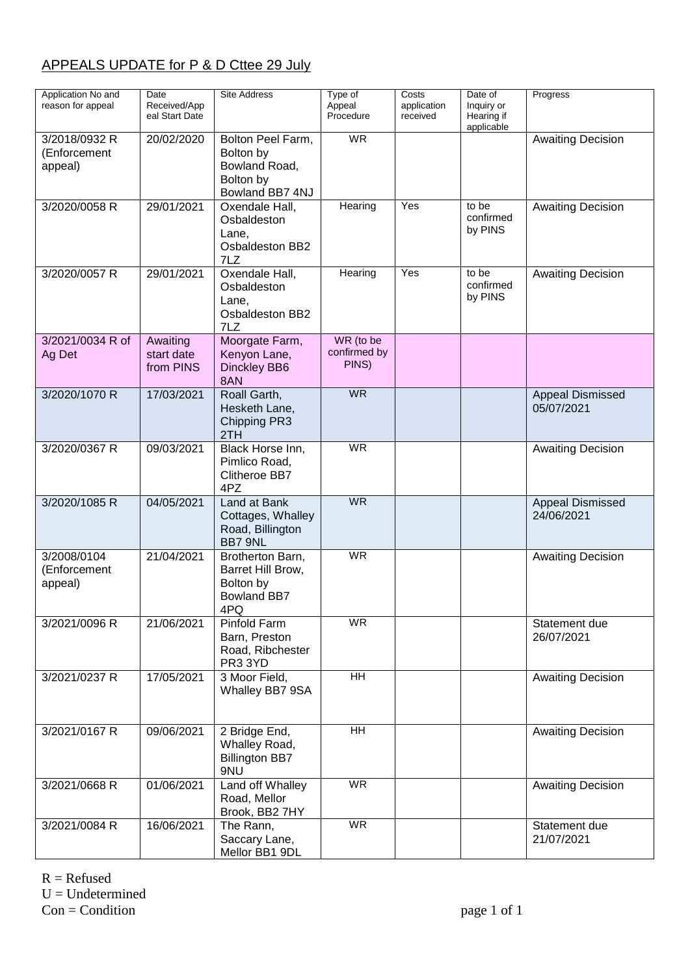## APPEALS UPDATE for P & D Cttee 29 July

| Application No and<br>reason for appeal  | Date<br>Received/App<br>eal Start Date | <b>Site Address</b>                                                             | Type of<br>Appeal<br>Procedure     | Costs<br>application<br>received | Date of<br>Inquiry or<br>Hearing if<br>applicable | Progress                              |
|------------------------------------------|----------------------------------------|---------------------------------------------------------------------------------|------------------------------------|----------------------------------|---------------------------------------------------|---------------------------------------|
| 3/2018/0932 R<br>(Enforcement<br>appeal) | 20/02/2020                             | Bolton Peel Farm,<br>Bolton by<br>Bowland Road,<br>Bolton by<br>Bowland BB7 4NJ | <b>WR</b>                          |                                  |                                                   | <b>Awaiting Decision</b>              |
| 3/2020/0058 R                            | 29/01/2021                             | Oxendale Hall,<br>Osbaldeston<br>Lane,<br>Osbaldeston BB2<br>7LZ                | Hearing                            | Yes                              | to be<br>confirmed<br>by PINS                     | <b>Awaiting Decision</b>              |
| 3/2020/0057 R                            | 29/01/2021                             | Oxendale Hall,<br>Osbaldeston<br>Lane,<br><b>Osbaldeston BB2</b><br>7LZ         | Hearing                            | Yes                              | to be<br>confirmed<br>by PINS                     | <b>Awaiting Decision</b>              |
| 3/2021/0034 R of<br>Ag Det               | Awaiting<br>start date<br>from PINS    | Moorgate Farm,<br>Kenyon Lane,<br>Dinckley BB6<br>8AN                           | WR (to be<br>confirmed by<br>PINS) |                                  |                                                   |                                       |
| 3/2020/1070 R                            | 17/03/2021                             | Roall Garth,<br>Hesketh Lane,<br>Chipping PR3<br>2TH                            | <b>WR</b>                          |                                  |                                                   | <b>Appeal Dismissed</b><br>05/07/2021 |
| 3/2020/0367 R                            | 09/03/2021                             | Black Horse Inn,<br>Pimlico Road,<br>Clitheroe BB7<br>4PZ                       | <b>WR</b>                          |                                  |                                                   | <b>Awaiting Decision</b>              |
| 3/2020/1085 R                            | 04/05/2021                             | Land at Bank<br>Cottages, Whalley<br>Road, Billington<br>BB7 9NL                | <b>WR</b>                          |                                  |                                                   | Appeal Dismissed<br>24/06/2021        |
| 3/2008/0104<br>(Enforcement<br>appeal)   | 21/04/2021                             | Brotherton Barn,<br>Barret Hill Brow,<br>Bolton by<br><b>Bowland BB7</b><br>4PQ | <b>WR</b>                          |                                  |                                                   | <b>Awaiting Decision</b>              |
| 3/2021/0096 R                            | 21/06/2021                             | Pinfold Farm<br>Barn, Preston<br>Road, Ribchester<br>PR3 3YD                    | <b>WR</b>                          |                                  |                                                   | Statement due<br>26/07/2021           |
| 3/2021/0237 R                            | 17/05/2021                             | 3 Moor Field,<br>Whalley BB7 9SA                                                | $\overline{HH}$                    |                                  |                                                   | <b>Awaiting Decision</b>              |
| 3/2021/0167 R                            | 09/06/2021                             | 2 Bridge End,<br>Whalley Road,<br><b>Billington BB7</b><br>9NU                  | <b>HH</b>                          |                                  |                                                   | <b>Awaiting Decision</b>              |
| 3/2021/0668 R                            | 01/06/2021                             | Land off Whalley<br>Road, Mellor<br>Brook, BB2 7HY                              | <b>WR</b>                          |                                  |                                                   | <b>Awaiting Decision</b>              |
| 3/2021/0084 R                            | 16/06/2021                             | The Rann,<br>Saccary Lane,<br>Mellor BB1 9DL                                    | <b>WR</b>                          |                                  |                                                   | Statement due<br>21/07/2021           |

 $R =$  Refused  $U =$ Undetermined  $Con = Condition$  page 1 of 1